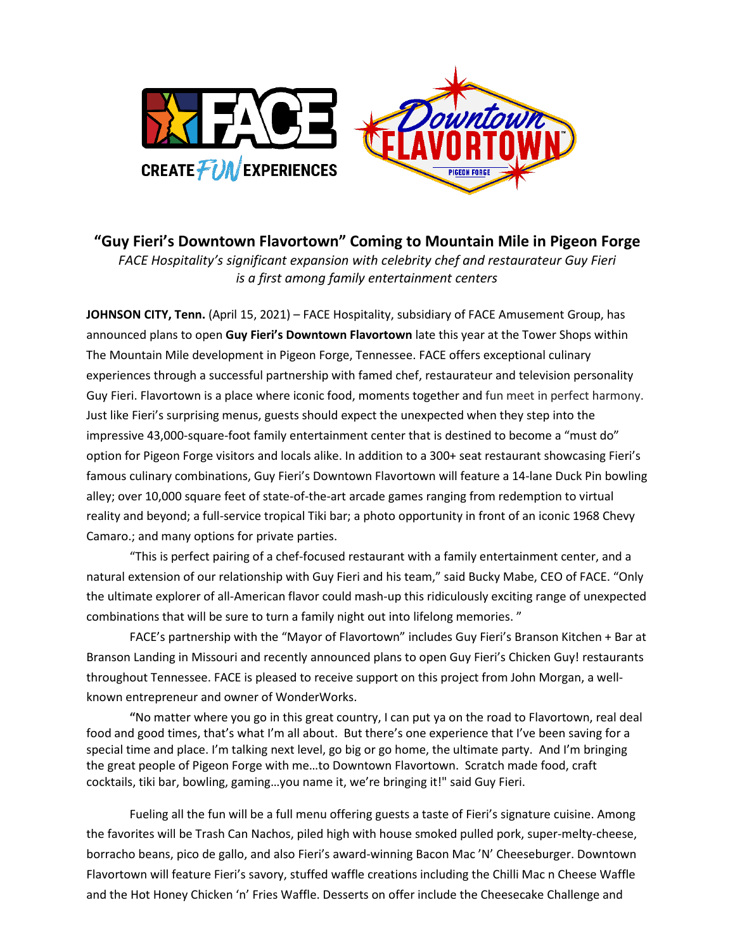

**"Guy Fieri's Downtown Flavortown" Coming to Mountain Mile in Pigeon Forge** *FACE Hospitality's significant expansion with celebrity chef and restaurateur Guy Fieri is a first among family entertainment centers* 

**JOHNSON CITY, Tenn.** (April 15, 2021) – FACE Hospitality, subsidiary of FACE Amusement Group, has announced plans to open **Guy Fieri's Downtown Flavortown** late this year at the Tower Shops within The Mountain Mile development in Pigeon Forge, Tennessee. FACE offers exceptional culinary experiences through a successful partnership with famed chef, restaurateur and television personality Guy Fieri. Flavortown is a place where iconic food, moments together and fun meet in perfect harmony. Just like Fieri's surprising menus, guests should expect the unexpected when they step into the impressive 43,000-square-foot family entertainment center that is destined to become a "must do" option for Pigeon Forge visitors and locals alike. In addition to a 300+ seat restaurant showcasing Fieri's famous culinary combinations, Guy Fieri's Downtown Flavortown will feature a 14-lane Duck Pin bowling alley; over 10,000 square feet of state-of-the-art arcade games ranging from redemption to virtual reality and beyond; a full-service tropical Tiki bar; a photo opportunity in front of an iconic 1968 Chevy Camaro.; and many options for private parties.

"This is perfect pairing of a chef-focused restaurant with a family entertainment center, and a natural extension of our relationship with Guy Fieri and his team," said Bucky Mabe, CEO of FACE. "Only the ultimate explorer of all-American flavor could mash-up this ridiculously exciting range of unexpected combinations that will be sure to turn a family night out into lifelong memories. "

FACE's partnership with the "Mayor of Flavortown" includes Guy Fieri's Branson Kitchen + Bar at Branson Landing in Missouri and recently announced plans to open Guy Fieri's Chicken Guy! restaurants throughout Tennessee. FACE is pleased to receive support on this project from John Morgan, a wellknown entrepreneur and owner of WonderWorks.

**"**No matter where you go in this great country, I can put ya on the road to Flavortown, real deal food and good times, that's what I'm all about. But there's one experience that I've been saving for a special time and place. I'm talking next level, go big or go home, the ultimate party. And I'm bringing the great people of Pigeon Forge with me…to Downtown Flavortown. Scratch made food, craft cocktails, tiki bar, bowling, gaming…you name it, we're bringing it!" said Guy Fieri.

Fueling all the fun will be a full menu offering guests a taste of Fieri's signature cuisine. Among the favorites will be Trash Can Nachos, piled high with house smoked pulled pork, super-melty-cheese, borracho beans, pico de gallo, and also Fieri's award-winning Bacon Mac 'N' Cheeseburger. Downtown Flavortown will feature Fieri's savory, stuffed waffle creations including the Chilli Mac n Cheese Waffle and the Hot Honey Chicken 'n' Fries Waffle. Desserts on offer include the Cheesecake Challenge and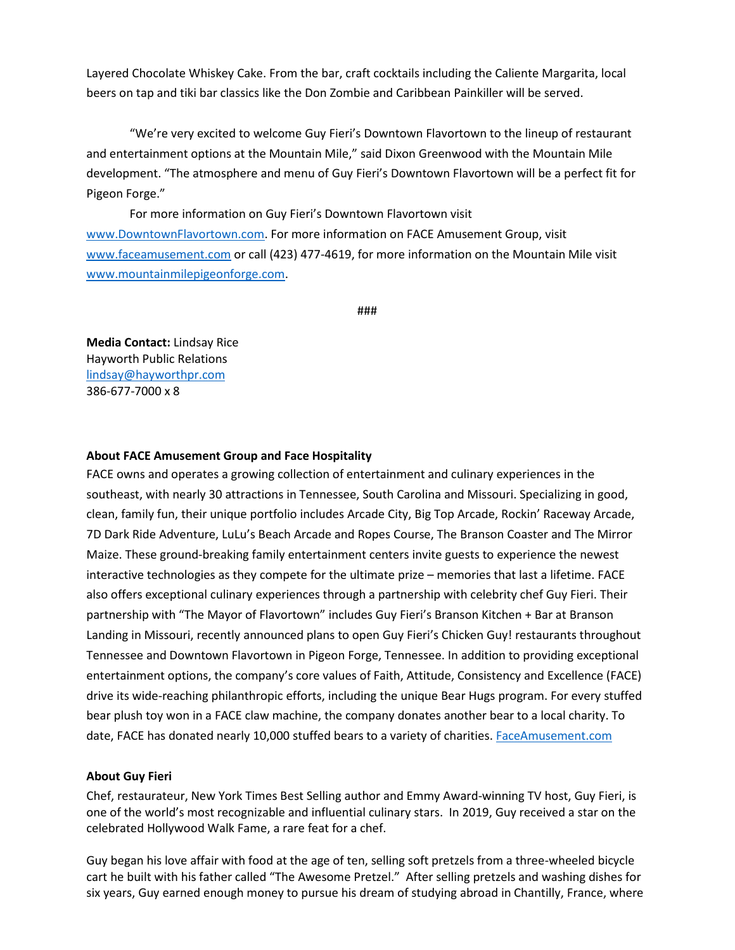Layered Chocolate Whiskey Cake. From the bar, craft cocktails including the Caliente Margarita, local beers on tap and tiki bar classics like the Don Zombie and Caribbean Painkiller will be served.

"We're very excited to welcome Guy Fieri's Downtown Flavortown to the lineup of restaurant and entertainment options at the Mountain Mile," said Dixon Greenwood with the Mountain Mile development. "The atmosphere and menu of Guy Fieri's Downtown Flavortown will be a perfect fit for Pigeon Forge."

For more information on Guy Fieri's Downtown Flavortown visit [www.DowntownFlavortown.com.](http://www.downtownflavortown.com/) For more information on FACE Amusement Group, visit [www.faceamusement.com](http://www.faceamusement.com/) or call (423) 477-4619, for more information on the Mountain Mile visit [www.mountainmilepigeonforge.com.](http://www.mountainmilepigeonforge.com/)

###

**Media Contact:** Lindsay Rice Hayworth Public Relations [lindsay@hayworthpr.com](mailto:lindsay@hayworthpr.com) 386-677-7000 x 8

## **About FACE Amusement Group and Face Hospitality**

FACE owns and operates a growing collection of entertainment and culinary experiences in the southeast, with nearly 30 attractions in Tennessee, South Carolina and Missouri. Specializing in good, clean, family fun, their unique portfolio includes Arcade City, Big Top Arcade, Rockin' Raceway Arcade, 7D Dark Ride Adventure, LuLu's Beach Arcade and Ropes Course, The Branson Coaster and The Mirror Maize. These ground-breaking family entertainment centers invite guests to experience the newest interactive technologies as they compete for the ultimate prize – memories that last a lifetime. FACE also offers exceptional culinary experiences through a partnership with celebrity chef Guy Fieri. Their partnership with "The Mayor of Flavortown" includes Guy Fieri's Branson Kitchen + Bar at Branson Landing in Missouri, recently announced plans to open Guy Fieri's Chicken Guy! restaurants throughout Tennessee and Downtown Flavortown in Pigeon Forge, Tennessee. In addition to providing exceptional entertainment options, the company's core values of Faith, Attitude, Consistency and Excellence (FACE) drive its wide-reaching philanthropic efforts, including the unique Bear Hugs program. For every stuffed bear plush toy won in a FACE claw machine, the company donates another bear to a local charity. To date, FACE has donated nearly 10,000 stuffed bears to a variety of charities. [FaceAmusement.com](https://faceamusement.com/)

## **About Guy Fieri**

Chef, restaurateur, New York Times Best Selling author and Emmy Award-winning TV host, Guy Fieri, is one of the world's most recognizable and influential culinary stars. In 2019, Guy received a star on the celebrated Hollywood Walk Fame, a rare feat for a chef.

Guy began his love affair with food at the age of ten, selling soft pretzels from a three-wheeled bicycle cart he built with his father called "The Awesome Pretzel." After selling pretzels and washing dishes for six years, Guy earned enough money to pursue his dream of studying abroad in Chantilly, France, where